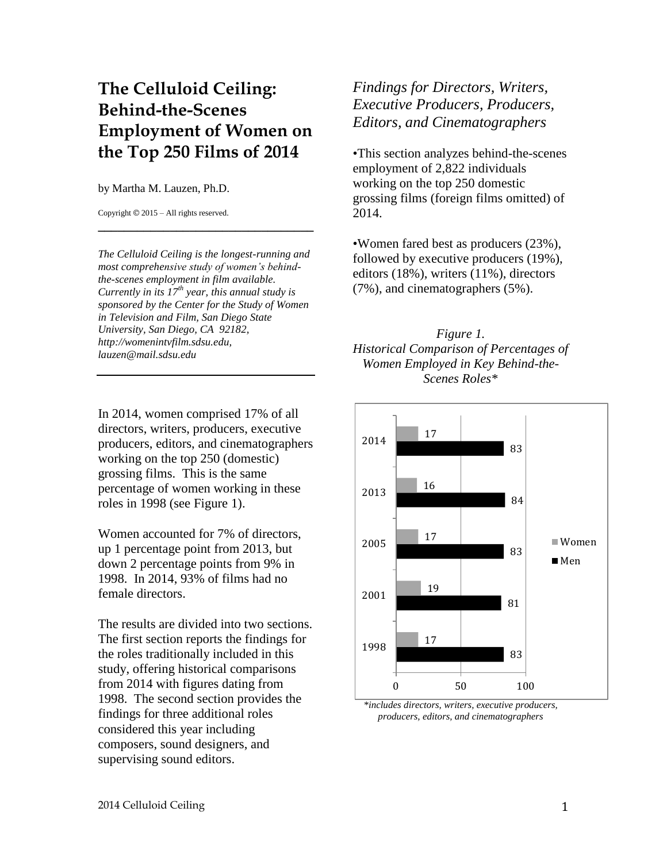## **The Celluloid Ceiling: Behind-the-Scenes Employment of Women on the Top 250 Films of 2014**

## by Martha M. Lauzen, Ph.D.

Copyright © 2015 – All rights reserved.

*The Celluloid Ceiling is the longest-running and most comprehensive study of women's behindthe-scenes employment in film available. Currently in its 17th year, this annual study is sponsored by the Center for the Study of Women in Television and Film, San Diego State University, San Diego, CA 92182, http://womenintvfilm.sdsu.edu, lauzen@mail.sdsu.edu*

**\_\_\_\_\_\_\_\_\_\_\_\_\_\_\_\_\_\_\_\_\_\_\_\_\_\_\_\_\_\_\_\_\_**

In 2014, women comprised 17% of all directors, writers, producers, executive producers, editors, and cinematographers working on the top 250 (domestic) grossing films. This is the same percentage of women working in these roles in 1998 (see Figure 1).

Women accounted for 7% of directors, up 1 percentage point from 2013, but down 2 percentage points from 9% in 1998. In 2014, 93% of films had no female directors.

The results are divided into two sections. The first section reports the findings for the roles traditionally included in this study, offering historical comparisons from 2014 with figures dating from 1998. The second section provides the findings for three additional roles considered this year including composers, sound designers, and supervising sound editors.

*Findings for Directors, Writers, Executive Producers, Producers, Editors, and Cinematographers*

•This section analyzes behind-the-scenes employment of 2,822 individuals working on the top 250 domestic grossing films (foreign films omitted) of 2014.

•Women fared best as producers (23%), followed by executive producers (19%), editors (18%), writers (11%), directors (7%), and cinematographers (5%).

*Figure 1. Historical Comparison of Percentages of Women Employed in Key Behind-the-Scenes Roles\**



*\*includes directors, writers, executive producers, producers, editors, and cinematographers*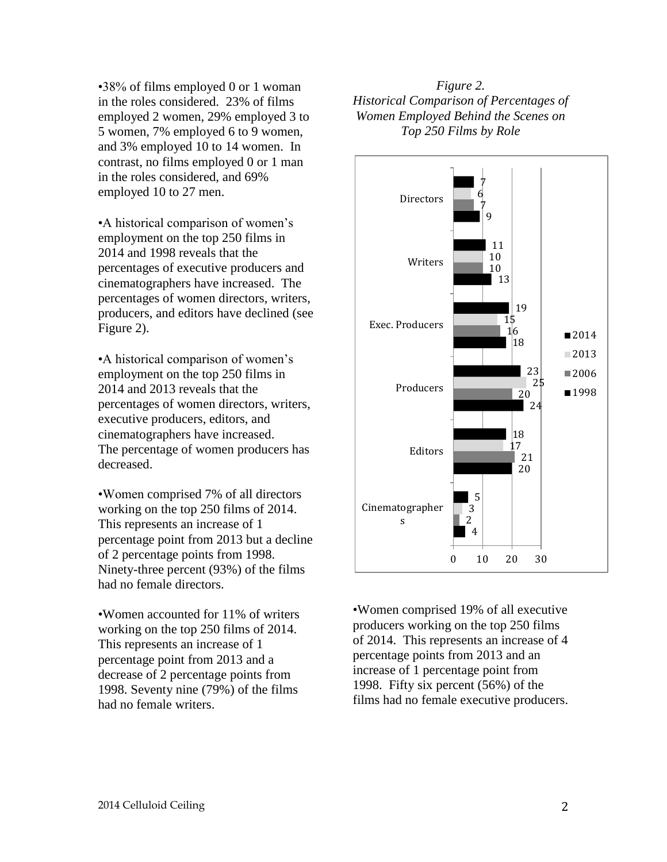$\cdot$ 38% of films employed 0 or 1 woman in the roles considered. 23% of films employed 2 women, 29% employed 3 to 5 women, 7% employed 6 to 9 women, and 3% employed 10 to 14 women. In contrast, no films employed 0 or 1 man in the roles considered, and 69% employed 10 to 27 men.

•A historical comparison of women's employment on the top 250 films in 2014 and 1998 reveals that the percentages of executive producers and cinematographers have increased. The percentages of women directors, writers, producers, and editors have declined (see Figure 2).

•A historical comparison of women's employment on the top 250 films in 2014 and 2013 reveals that the percentages of women directors, writers, executive producers, editors, and cinematographers have increased. The percentage of women producers has decreased.

•Women comprised 7% of all directors working on the top 250 films of 2014. This represents an increase of 1 percentage point from 2013 but a decline of 2 percentage points from 1998. Ninety-three percent (93%) of the films had no female directors.

•Women accounted for 11% of writers working on the top 250 films of 2014. This represents an increase of 1 percentage point from 2013 and a decrease of 2 percentage points from 1998. Seventy nine (79%) of the films had no female writers.

## *Figure 2. Historical Comparison of Percentages of Women Employed Behind the Scenes on Top 250 Films by Role*



•Women comprised 19% of all executive producers working on the top 250 films of 2014. This represents an increase of 4 percentage points from 2013 and an increase of 1 percentage point from 1998. Fifty six percent (56%) of the films had no female executive producers.